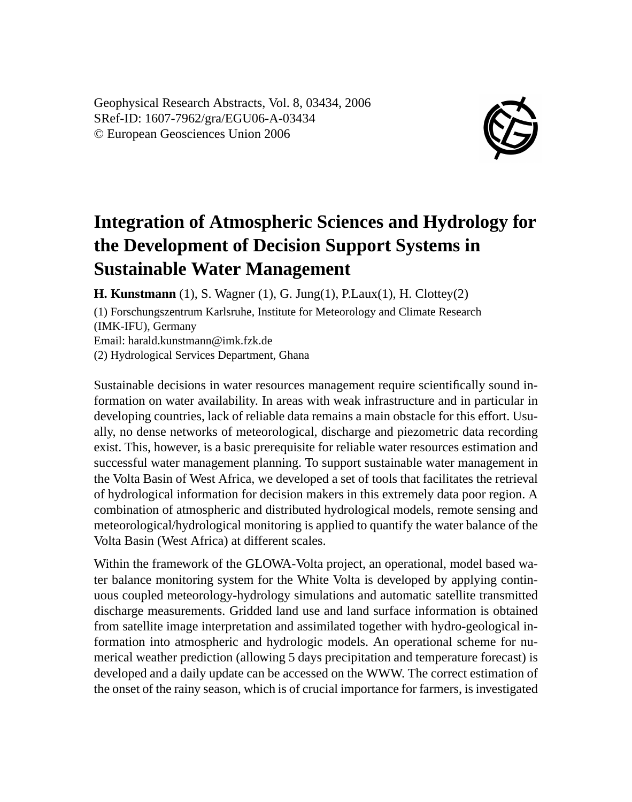Geophysical Research Abstracts, Vol. 8, 03434, 2006 SRef-ID: 1607-7962/gra/EGU06-A-03434 © European Geosciences Union 2006



## **Integration of Atmospheric Sciences and Hydrology for the Development of Decision Support Systems in Sustainable Water Management**

**H. Kunstmann** (1), S. Wagner (1), G. Jung(1), P.Laux(1), H. Clottey(2)

(1) Forschungszentrum Karlsruhe, Institute for Meteorology and Climate Research (IMK-IFU), Germany Email: harald.kunstmann@imk.fzk.de (2) Hydrological Services Department, Ghana

Sustainable decisions in water resources management require scientifically sound information on water availability. In areas with weak infrastructure and in particular in developing countries, lack of reliable data remains a main obstacle for this effort. Usually, no dense networks of meteorological, discharge and piezometric data recording exist. This, however, is a basic prerequisite for reliable water resources estimation and successful water management planning. To support sustainable water management in the Volta Basin of West Africa, we developed a set of tools that facilitates the retrieval of hydrological information for decision makers in this extremely data poor region. A combination of atmospheric and distributed hydrological models, remote sensing and meteorological/hydrological monitoring is applied to quantify the water balance of the Volta Basin (West Africa) at different scales.

Within the framework of the GLOWA-Volta project, an operational, model based water balance monitoring system for the White Volta is developed by applying continuous coupled meteorology-hydrology simulations and automatic satellite transmitted discharge measurements. Gridded land use and land surface information is obtained from satellite image interpretation and assimilated together with hydro-geological information into atmospheric and hydrologic models. An operational scheme for numerical weather prediction (allowing 5 days precipitation and temperature forecast) is developed and a daily update can be accessed on the WWW. The correct estimation of the onset of the rainy season, which is of crucial importance for farmers, is investigated